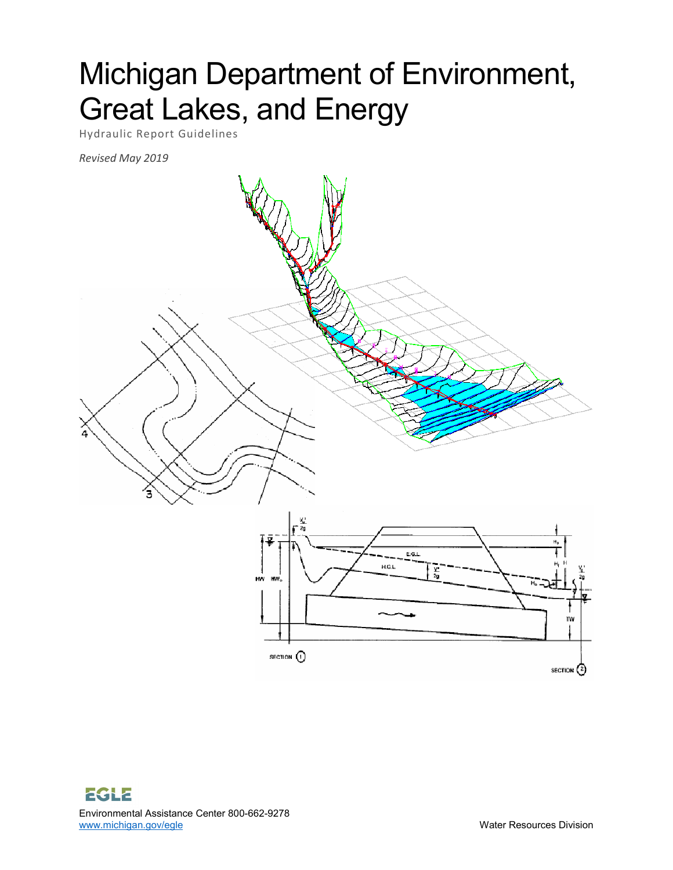# Michigan Department of Environment, Great Lakes, and Energy

Hydraulic Report Guidelines

*Revised May 2019*

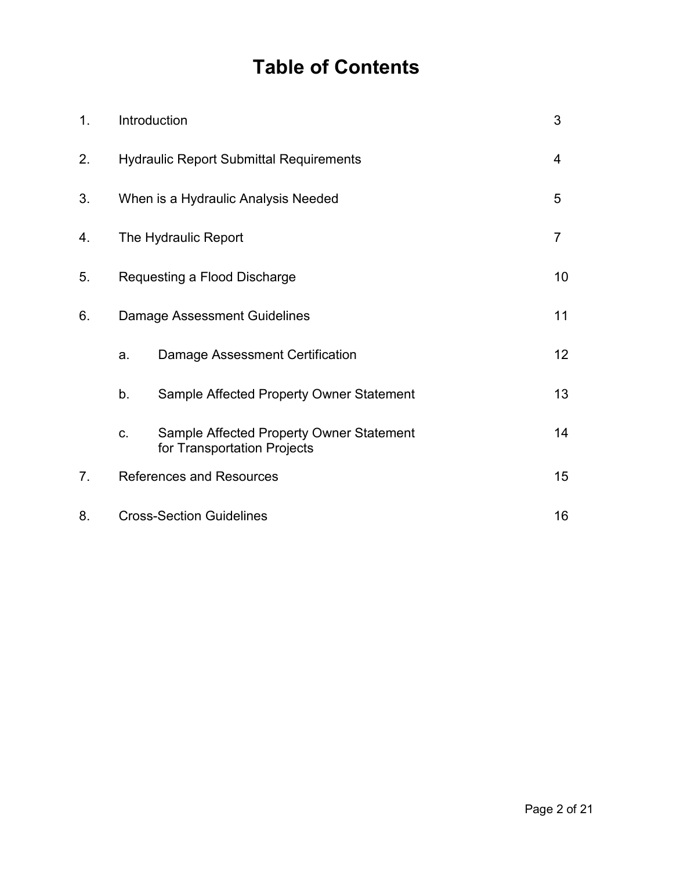## **Table of Contents**

| 1. | Introduction                                   |                                                                         | 3              |
|----|------------------------------------------------|-------------------------------------------------------------------------|----------------|
| 2. | <b>Hydraulic Report Submittal Requirements</b> |                                                                         | 4              |
| 3. | When is a Hydraulic Analysis Needed            |                                                                         | 5              |
| 4. | The Hydraulic Report                           |                                                                         | $\overline{7}$ |
| 5. | Requesting a Flood Discharge                   |                                                                         | 10             |
| 6. | <b>Damage Assessment Guidelines</b>            |                                                                         | 11             |
|    | a.                                             | Damage Assessment Certification                                         | 12             |
|    | b.                                             | Sample Affected Property Owner Statement                                | 13             |
|    | C.                                             | Sample Affected Property Owner Statement<br>for Transportation Projects | 14             |
| 7. | <b>References and Resources</b>                |                                                                         | 15             |
| 8. | <b>Cross-Section Guidelines</b>                |                                                                         | 16             |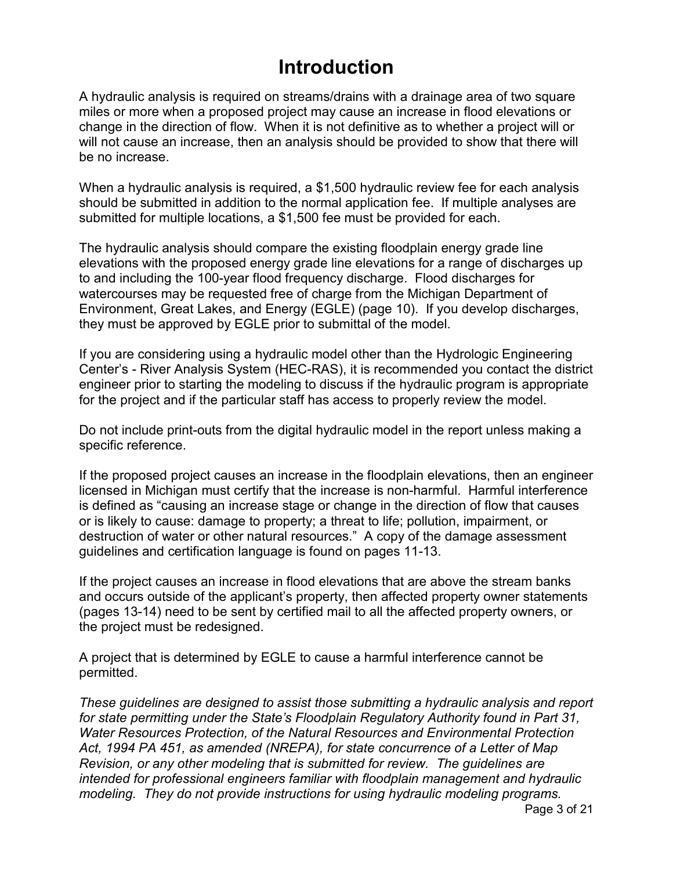### **Introduction**

A hydraulic analysis is required on streams/drains with a drainage area of two square miles or more when a proposed project may cause an increase in flood elevations or change in the direction of flow. When it is not definitive as to whether a project will or will not cause an increase, then an analysis should be provided to show that there will be no increase.

When a hydraulic analysis is required, a \$1,500 hydraulic review fee for each analysis should be submitted in addition to the normal application fee. If multiple analyses are submitted for multiple locations, a \$1,500 fee must be provided for each.

The hydraulic analysis should compare the existing floodplain energy grade line elevations with the proposed energy grade line elevations for a range of discharges up to and including the 100-year flood frequency discharge. Flood discharges for watercourses may be requested free of charge from the Michigan Department of Environment, Great Lakes, and Energy (EGLE) (page 10). If you develop discharges, they must be approved by EGLE prior to submittal of the model.

If you are considering using a hydraulic model other than the Hydrologic Engineering Center's - River Analysis System (HEC-RAS), it is recommended you contact the district engineer prior to starting the modeling to discuss if the hydraulic program is appropriate for the project and if the particular staff has access to properly review the model.

Do not include print-outs from the digital hydraulic model in the report unless making a specific reference.

If the proposed project causes an increase in the floodplain elevations, then an engineer licensed in Michigan must certify that the increase is non-harmful. Harmful interference is defined as "causing an increase stage or change in the direction of flow that causes or is likely to cause: damage to property; a threat to life; pollution, impairment, or destruction of water or other natural resources." A copy of the damage assessment guidelines and certification language is found on pages 11-13.

If the project causes an increase in flood elevations that are above the stream banks and occurs outside of the applicant's property, then affected property owner statements (pages 13-14) need to be sent by certified mail to all the affected property owners, or the project must be redesigned.

A project that is determined by EGLE to cause a harmful interference cannot be permitted.

*These guidelines are designed to assist those submitting a hydraulic analysis and report for state permitting under the State's Floodplain Regulatory Authority found in Part 31, Water Resources Protection, of the Natural Resources and Environmental Protection Act, 1994 PA 451, as amended (NREPA), for state concurrence of a Letter of Map Revision, or any other modeling that is submitted for review. The guidelines are intended for professional engineers familiar with floodplain management and hydraulic modeling. They do not provide instructions for using hydraulic modeling programs.*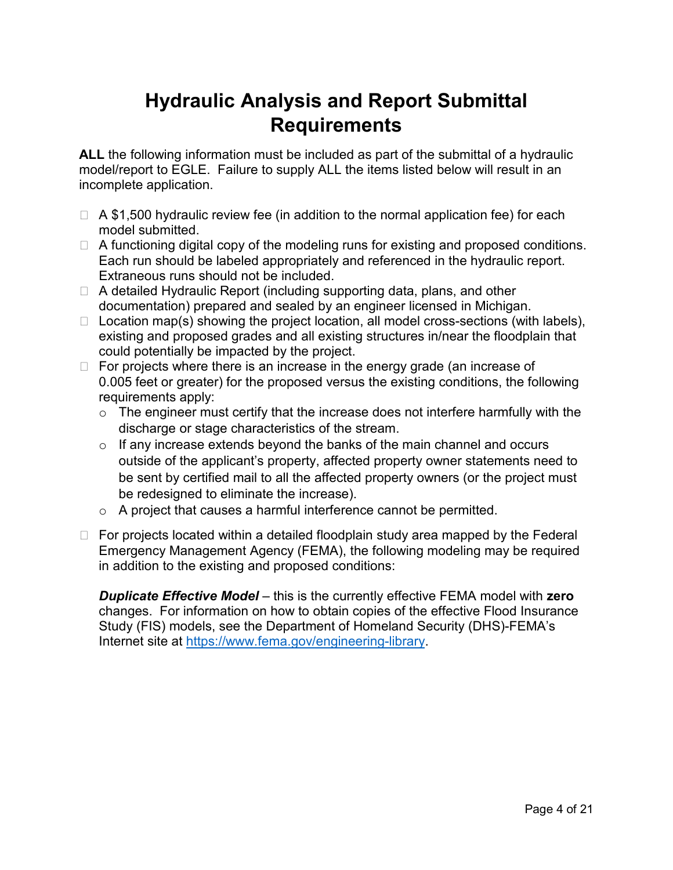### **Hydraulic Analysis and Report Submittal Requirements**

**ALL** the following information must be included as part of the submittal of a hydraulic model/report to EGLE. Failure to supply ALL the items listed below will result in an incomplete application.

- $\Box$  A \$1,500 hydraulic review fee (in addition to the normal application fee) for each model submitted.
- $\Box$  A functioning digital copy of the modeling runs for existing and proposed conditions. Each run should be labeled appropriately and referenced in the hydraulic report. Extraneous runs should not be included.
- $\Box$  A detailed Hydraulic Report (including supporting data, plans, and other documentation) prepared and sealed by an engineer licensed in Michigan.
- $\Box$  Location map(s) showing the project location, all model cross-sections (with labels), existing and proposed grades and all existing structures in/near the floodplain that could potentially be impacted by the project.
- $\Box$  For projects where there is an increase in the energy grade (an increase of 0.005 feet or greater) for the proposed versus the existing conditions, the following requirements apply:
	- $\circ$  The engineer must certify that the increase does not interfere harmfully with the discharge or stage characteristics of the stream.
	- $\circ$  If any increase extends beyond the banks of the main channel and occurs outside of the applicant's property, affected property owner statements need to be sent by certified mail to all the affected property owners (or the project must be redesigned to eliminate the increase).
	- o A project that causes a harmful interference cannot be permitted.
- $\Box$  For projects located within a detailed floodplain study area mapped by the Federal Emergency Management Agency (FEMA), the following modeling may be required in addition to the existing and proposed conditions:

*Duplicate Effective Model* – this is the currently effective FEMA model with **zero** changes. For information on how to obtain copies of the effective Flood Insurance Study (FIS) models, see the Department of Homeland Security (DHS)-FEMA's Internet site at [https://www.fema.gov/engineering-library.](https://www.fema.gov/engineering-library)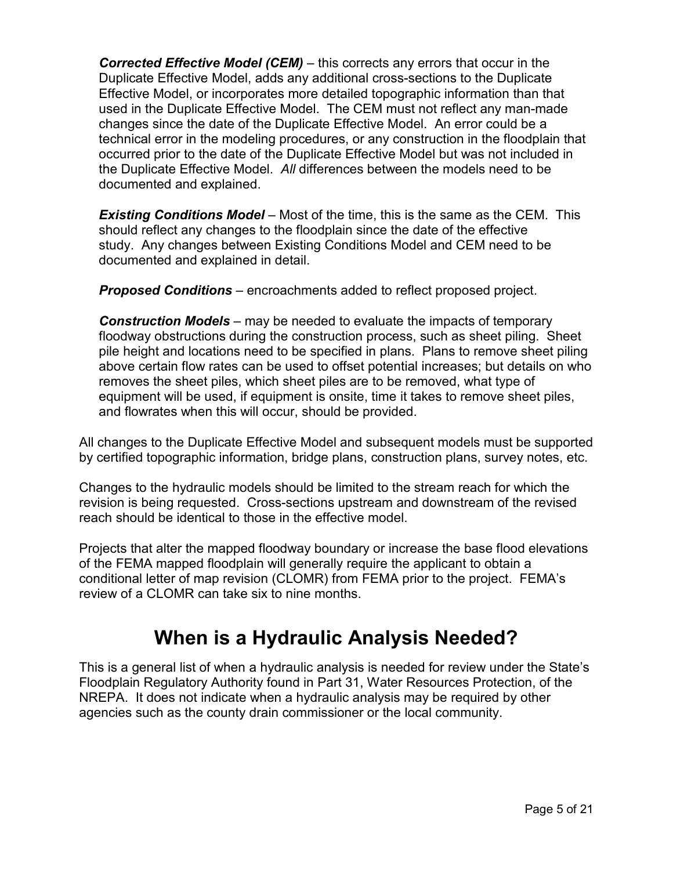*Corrected Effective Model (CEM)* – this corrects any errors that occur in the Duplicate Effective Model, adds any additional cross-sections to the Duplicate Effective Model, or incorporates more detailed topographic information than that used in the Duplicate Effective Model. The CEM must not reflect any man-made changes since the date of the Duplicate Effective Model. An error could be a technical error in the modeling procedures, or any construction in the floodplain that occurred prior to the date of the Duplicate Effective Model but was not included in the Duplicate Effective Model. *All* differences between the models need to be documented and explained.

*Existing Conditions Model* – Most of the time, this is the same as the CEM. This should reflect any changes to the floodplain since the date of the effective study. Any changes between Existing Conditions Model and CEM need to be documented and explained in detail.

*Proposed Conditions* – encroachments added to reflect proposed project.

*Construction Models* – may be needed to evaluate the impacts of temporary floodway obstructions during the construction process, such as sheet piling. Sheet pile height and locations need to be specified in plans. Plans to remove sheet piling above certain flow rates can be used to offset potential increases; but details on who removes the sheet piles, which sheet piles are to be removed, what type of equipment will be used, if equipment is onsite, time it takes to remove sheet piles, and flowrates when this will occur, should be provided.

All changes to the Duplicate Effective Model and subsequent models must be supported by certified topographic information, bridge plans, construction plans, survey notes, etc.

Changes to the hydraulic models should be limited to the stream reach for which the revision is being requested. Cross-sections upstream and downstream of the revised reach should be identical to those in the effective model.

Projects that alter the mapped floodway boundary or increase the base flood elevations of the FEMA mapped floodplain will generally require the applicant to obtain a conditional letter of map revision (CLOMR) from FEMA prior to the project. FEMA's review of a CLOMR can take six to nine months.

### **When is a Hydraulic Analysis Needed?**

This is a general list of when a hydraulic analysis is needed for review under the State's Floodplain Regulatory Authority found in Part 31, Water Resources Protection, of the NREPA. It does not indicate when a hydraulic analysis may be required by other agencies such as the county drain commissioner or the local community.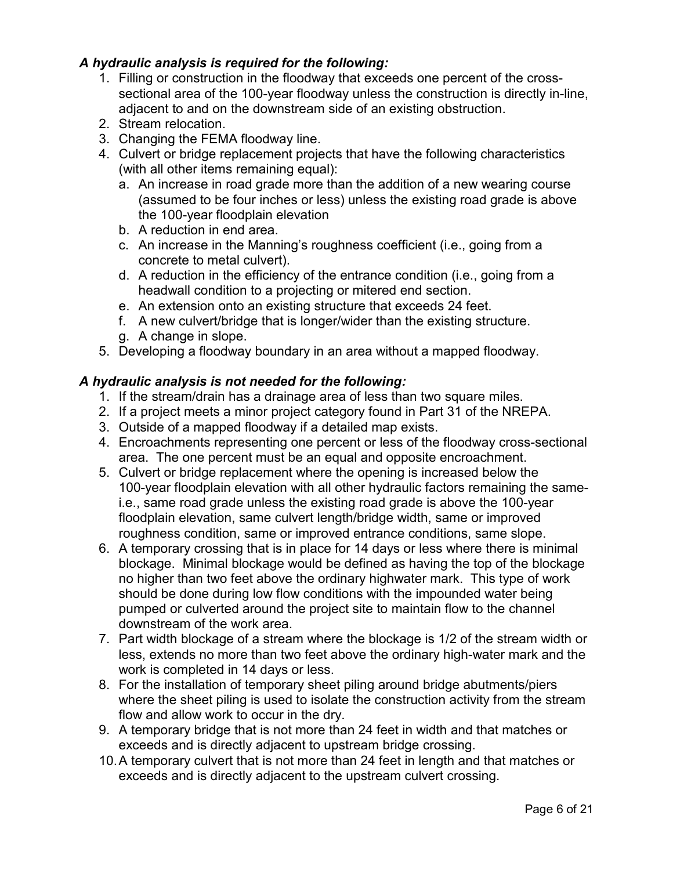#### *A hydraulic analysis is required for the following:*

- 1. Filling or construction in the floodway that exceeds one percent of the crosssectional area of the 100-year floodway unless the construction is directly in-line, adjacent to and on the downstream side of an existing obstruction.
- 2. Stream relocation.
- 3. Changing the FEMA floodway line.
- 4. Culvert or bridge replacement projects that have the following characteristics (with all other items remaining equal):
	- a. An increase in road grade more than the addition of a new wearing course (assumed to be four inches or less) unless the existing road grade is above the 100-year floodplain elevation
	- b. A reduction in end area.
	- c. An increase in the Manning's roughness coefficient (i.e., going from a concrete to metal culvert).
	- d. A reduction in the efficiency of the entrance condition (i.e., going from a headwall condition to a projecting or mitered end section.
	- e. An extension onto an existing structure that exceeds 24 feet.
	- f. A new culvert/bridge that is longer/wider than the existing structure.
	- g. A change in slope.
- 5. Developing a floodway boundary in an area without a mapped floodway.

#### *A hydraulic analysis is not needed for the following:*

- 1. If the stream/drain has a drainage area of less than two square miles.
- 2. If a project meets a minor project category found in Part 31 of the NREPA.
- 3. Outside of a mapped floodway if a detailed map exists.
- 4. Encroachments representing one percent or less of the floodway cross-sectional area. The one percent must be an equal and opposite encroachment.
- 5. Culvert or bridge replacement where the opening is increased below the 100-year floodplain elevation with all other hydraulic factors remaining the samei.e., same road grade unless the existing road grade is above the 100-year floodplain elevation, same culvert length/bridge width, same or improved roughness condition, same or improved entrance conditions, same slope.
- 6. A temporary crossing that is in place for 14 days or less where there is minimal blockage. Minimal blockage would be defined as having the top of the blockage no higher than two feet above the ordinary highwater mark. This type of work should be done during low flow conditions with the impounded water being pumped or culverted around the project site to maintain flow to the channel downstream of the work area.
- 7. Part width blockage of a stream where the blockage is 1/2 of the stream width or less, extends no more than two feet above the ordinary high-water mark and the work is completed in 14 days or less.
- 8. For the installation of temporary sheet piling around bridge abutments/piers where the sheet piling is used to isolate the construction activity from the stream flow and allow work to occur in the dry.
- 9. A temporary bridge that is not more than 24 feet in width and that matches or exceeds and is directly adjacent to upstream bridge crossing.
- 10.A temporary culvert that is not more than 24 feet in length and that matches or exceeds and is directly adjacent to the upstream culvert crossing.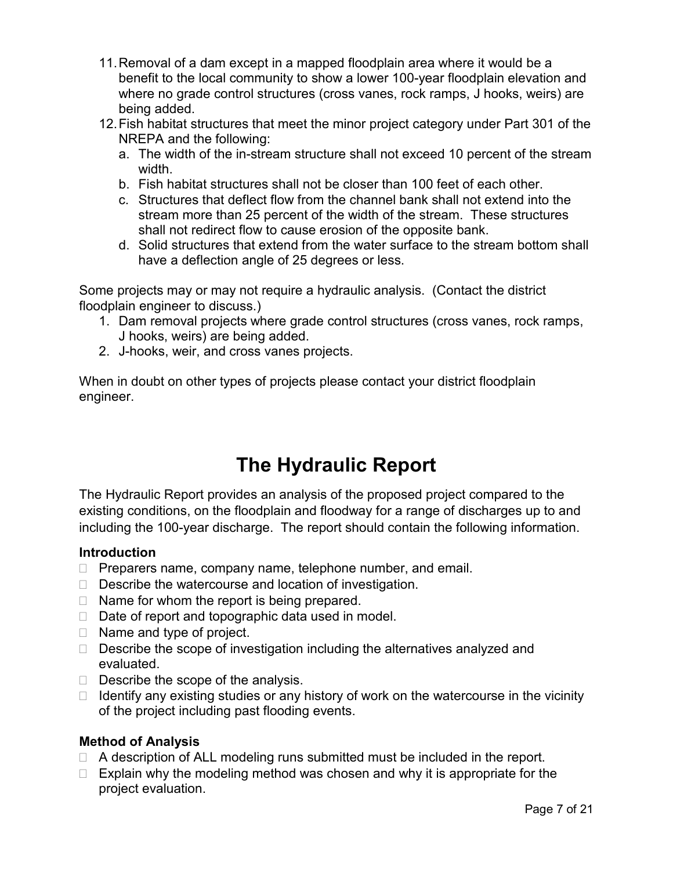- 11.Removal of a dam except in a mapped floodplain area where it would be a benefit to the local community to show a lower 100-year floodplain elevation and where no grade control structures (cross vanes, rock ramps, J hooks, weirs) are being added.
- 12.Fish habitat structures that meet the minor project category under Part 301 of the NREPA and the following:
	- a. The width of the in-stream structure shall not exceed 10 percent of the stream width.
	- b. Fish habitat structures shall not be closer than 100 feet of each other.
	- c. Structures that deflect flow from the channel bank shall not extend into the stream more than 25 percent of the width of the stream. These structures shall not redirect flow to cause erosion of the opposite bank.
	- d. Solid structures that extend from the water surface to the stream bottom shall have a deflection angle of 25 degrees or less.

Some projects may or may not require a hydraulic analysis. (Contact the district floodplain engineer to discuss.)

- 1. Dam removal projects where grade control structures (cross vanes, rock ramps, J hooks, weirs) are being added.
- 2. J-hooks, weir, and cross vanes projects.

When in doubt on other types of projects please contact your district floodplain engineer.

### **The Hydraulic Report**

The Hydraulic Report provides an analysis of the proposed project compared to the existing conditions, on the floodplain and floodway for a range of discharges up to and including the 100-year discharge. The report should contain the following information.

#### **Introduction**

- $\Box$  Preparers name, company name, telephone number, and email.
- $\Box$  Describe the watercourse and location of investigation.
- $\Box$  Name for whom the report is being prepared.
- $\Box$  Date of report and topographic data used in model.
- $\Box$  Name and type of project.
- $\Box$  Describe the scope of investigation including the alternatives analyzed and evaluated.
- $\Box$  Describe the scope of the analysis.
- $\Box$  Identify any existing studies or any history of work on the watercourse in the vicinity of the project including past flooding events.

#### **Method of Analysis**

- $\Box$  A description of ALL modeling runs submitted must be included in the report.
- $\Box$  Explain why the modeling method was chosen and why it is appropriate for the project evaluation.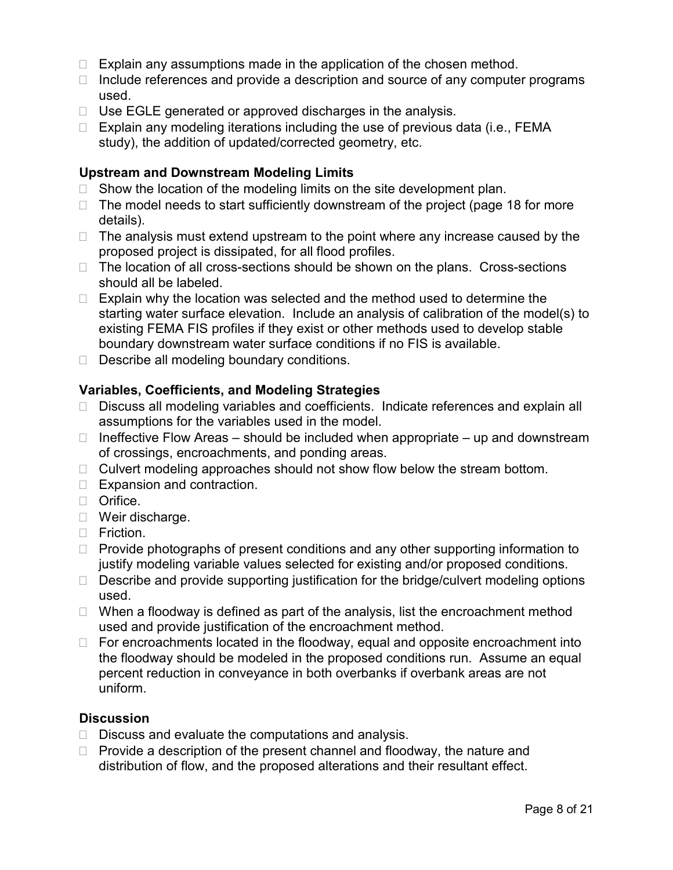- $\Box$  Explain any assumptions made in the application of the chosen method.
- $\Box$  Include references and provide a description and source of any computer programs used.
- $\Box$  Use EGLE generated or approved discharges in the analysis.
- $\Box$  Explain any modeling iterations including the use of previous data (i.e., FEMA study), the addition of updated/corrected geometry, etc.

#### **Upstream and Downstream Modeling Limits**

- $\Box$  Show the location of the modeling limits on the site development plan.
- $\Box$  The model needs to start sufficiently downstream of the project (page 18 for more details).
- $\Box$  The analysis must extend upstream to the point where any increase caused by the proposed project is dissipated, for all flood profiles.
- $\Box$  The location of all cross-sections should be shown on the plans. Cross-sections should all be labeled.
- $\Box$  Explain why the location was selected and the method used to determine the starting water surface elevation. Include an analysis of calibration of the model(s) to existing FEMA FIS profiles if they exist or other methods used to develop stable boundary downstream water surface conditions if no FIS is available.
- $\Box$  Describe all modeling boundary conditions.

#### **Variables, Coefficients, and Modeling Strategies**

- □ Discuss all modeling variables and coefficients. Indicate references and explain all assumptions for the variables used in the model.
- $\Box$  Ineffective Flow Areas should be included when appropriate up and downstream of crossings, encroachments, and ponding areas.
- $\Box$  Culvert modeling approaches should not show flow below the stream bottom.
- □ Expansion and contraction.
- **D** Orifice.
- □ Weir discharge.
- $\Box$  Friction.
- $\Box$  Provide photographs of present conditions and any other supporting information to justify modeling variable values selected for existing and/or proposed conditions.
- $\Box$  Describe and provide supporting justification for the bridge/culvert modeling options used.
- $\Box$  When a floodway is defined as part of the analysis, list the encroachment method used and provide justification of the encroachment method.
- $\Box$  For encroachments located in the floodway, equal and opposite encroachment into the floodway should be modeled in the proposed conditions run. Assume an equal percent reduction in conveyance in both overbanks if overbank areas are not uniform.

#### **Discussion**

- $\Box$  Discuss and evaluate the computations and analysis.
- $\Box$  Provide a description of the present channel and floodway, the nature and distribution of flow, and the proposed alterations and their resultant effect.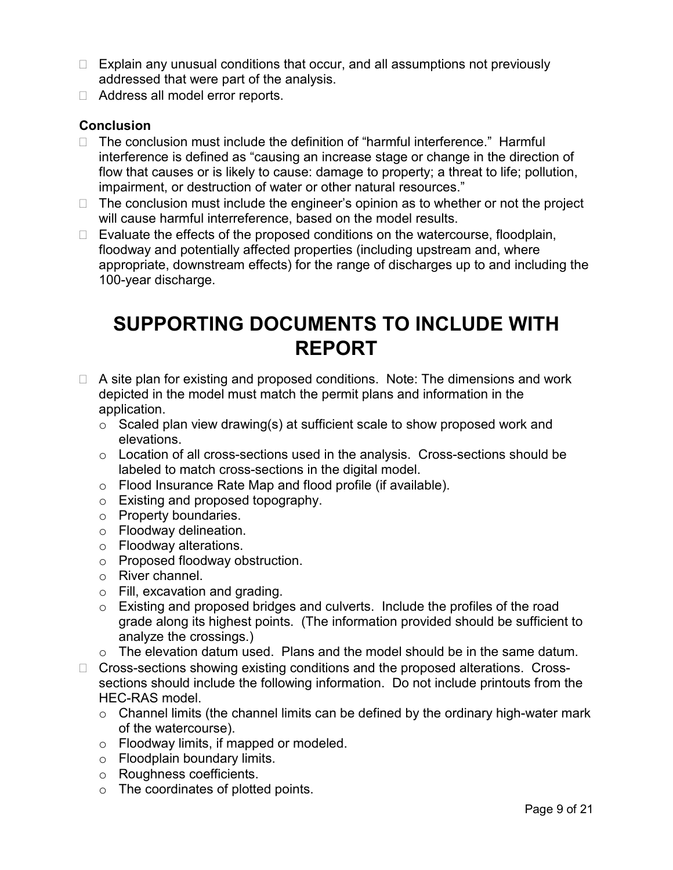- $\Box$  Explain any unusual conditions that occur, and all assumptions not previously addressed that were part of the analysis.
- □ Address all model error reports.

#### **Conclusion**

- $\Box$  The conclusion must include the definition of "harmful interference." Harmful interference is defined as "causing an increase stage or change in the direction of flow that causes or is likely to cause: damage to property; a threat to life; pollution, impairment, or destruction of water or other natural resources."
- $\Box$  The conclusion must include the engineer's opinion as to whether or not the project will cause harmful interreference, based on the model results.
- $\Box$  Evaluate the effects of the proposed conditions on the watercourse, floodplain, floodway and potentially affected properties (including upstream and, where appropriate, downstream effects) for the range of discharges up to and including the 100-year discharge.

### **SUPPORTING DOCUMENTS TO INCLUDE WITH REPORT**

- $\Box$  A site plan for existing and proposed conditions. Note: The dimensions and work depicted in the model must match the permit plans and information in the application.
	- $\circ$  Scaled plan view drawing(s) at sufficient scale to show proposed work and elevations.
	- $\circ$  Location of all cross-sections used in the analysis. Cross-sections should be labeled to match cross-sections in the digital model.
	- o Flood Insurance Rate Map and flood profile (if available).
	- o Existing and proposed topography.
	- o Property boundaries.
	- o Floodway delineation.
	- o Floodway alterations.
	- o Proposed floodway obstruction.
	- o River channel.
	- o Fill, excavation and grading.
	- o Existing and proposed bridges and culverts. Include the profiles of the road grade along its highest points. (The information provided should be sufficient to analyze the crossings.)
	- $\circ$  The elevation datum used. Plans and the model should be in the same datum.
- □ Cross-sections showing existing conditions and the proposed alterations. Crosssections should include the following information. Do not include printouts from the HEC-RAS model.
	- $\circ$  Channel limits (the channel limits can be defined by the ordinary high-water mark of the watercourse).
	- o Floodway limits, if mapped or modeled.
	- o Floodplain boundary limits.
	- o Roughness coefficients.
	- o The coordinates of plotted points.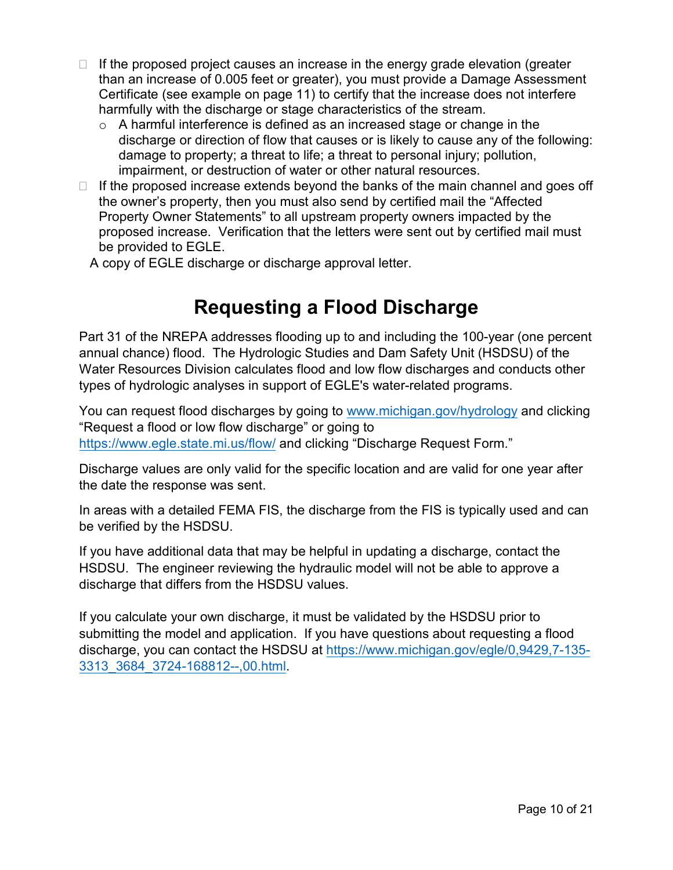- $\Box$  If the proposed project causes an increase in the energy grade elevation (greater than an increase of 0.005 feet or greater), you must provide a Damage Assessment Certificate (see example on page 11) to certify that the increase does not interfere harmfully with the discharge or stage characteristics of the stream.
	- $\circ$  A harmful interference is defined as an increased stage or change in the discharge or direction of flow that causes or is likely to cause any of the following: damage to property; a threat to life; a threat to personal injury; pollution, impairment, or destruction of water or other natural resources.
- $\Box$  If the proposed increase extends beyond the banks of the main channel and goes off the owner's property, then you must also send by certified mail the "Affected Property Owner Statements" to all upstream property owners impacted by the proposed increase. Verification that the letters were sent out by certified mail must be provided to EGLE.

A copy of EGLE discharge or discharge approval letter.

### **Requesting a Flood Discharge**

Part 31 of the NREPA addresses flooding up to and including the 100-year (one percent annual chance) flood. The Hydrologic Studies and Dam Safety Unit (HSDSU) of the Water Resources Division calculates flood and low flow discharges and conducts other types of hydrologic analyses in support of EGLE's water-related programs.

You can request flood discharges by going t[o www.michigan.gov/hydrology](http://www.michigan.gov/hydrology) and clicking "Request a flood or low flow discharge" or going to <https://www.egle.state.mi.us/flow/> and clicking "Discharge Request Form."

Discharge values are only valid for the specific location and are valid for one year after the date the response was sent.

In areas with a detailed FEMA FIS, the discharge from the FIS is typically used and can be verified by the HSDSU.

If you have additional data that may be helpful in updating a discharge, contact the HSDSU. The engineer reviewing the hydraulic model will not be able to approve a discharge that differs from the HSDSU values.

If you calculate your own discharge, it must be validated by the HSDSU prior to submitting the model and application. If you have questions about requesting a flood discharge, you can contact the HSDSU at [https://www.michigan.gov/egle/0,9429,7-135-](https://www.michigan.gov/egle/0,9429,7-135-3313_3684_3724-168812--,00.html) [3313\\_3684\\_3724-168812--,00.html.](https://www.michigan.gov/egle/0,9429,7-135-3313_3684_3724-168812--,00.html)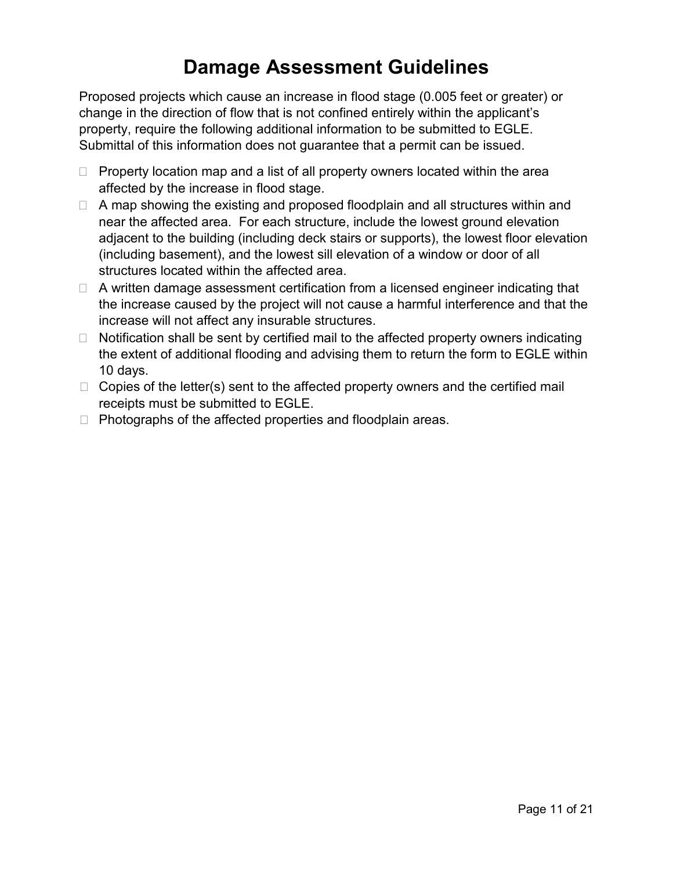### **Damage Assessment Guidelines**

Proposed projects which cause an increase in flood stage (0.005 feet or greater) or change in the direction of flow that is not confined entirely within the applicant's property, require the following additional information to be submitted to EGLE. Submittal of this information does not guarantee that a permit can be issued.

- $\Box$  Property location map and a list of all property owners located within the area affected by the increase in flood stage.
- $\Box$  A map showing the existing and proposed floodplain and all structures within and near the affected area. For each structure, include the lowest ground elevation adjacent to the building (including deck stairs or supports), the lowest floor elevation (including basement), and the lowest sill elevation of a window or door of all structures located within the affected area.
- $\Box$  A written damage assessment certification from a licensed engineer indicating that the increase caused by the project will not cause a harmful interference and that the increase will not affect any insurable structures.
- $\Box$  Notification shall be sent by certified mail to the affected property owners indicating the extent of additional flooding and advising them to return the form to EGLE within 10 days.
- $\Box$  Copies of the letter(s) sent to the affected property owners and the certified mail receipts must be submitted to EGLE.
- $\Box$  Photographs of the affected properties and floodplain areas.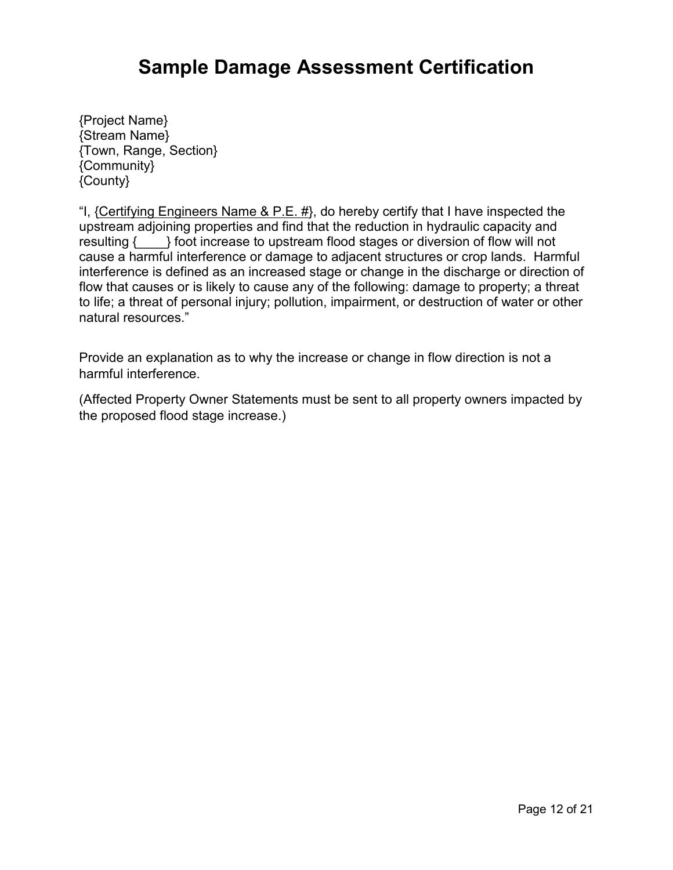### **Sample Damage Assessment Certification**

{Project Name} {Stream Name} {Town, Range, Section} {Community} {County}

"I, {Certifying Engineers Name & P.E.  $#$ }, do hereby certify that I have inspected the upstream adjoining properties and find that the reduction in hydraulic capacity and resulting {  $\}$  foot increase to upstream flood stages or diversion of flow will not cause a harmful interference or damage to adjacent structures or crop lands. Harmful interference is defined as an increased stage or change in the discharge or direction of flow that causes or is likely to cause any of the following: damage to property; a threat to life; a threat of personal injury; pollution, impairment, or destruction of water or other natural resources."

Provide an explanation as to why the increase or change in flow direction is not a harmful interference.

(Affected Property Owner Statements must be sent to all property owners impacted by the proposed flood stage increase.)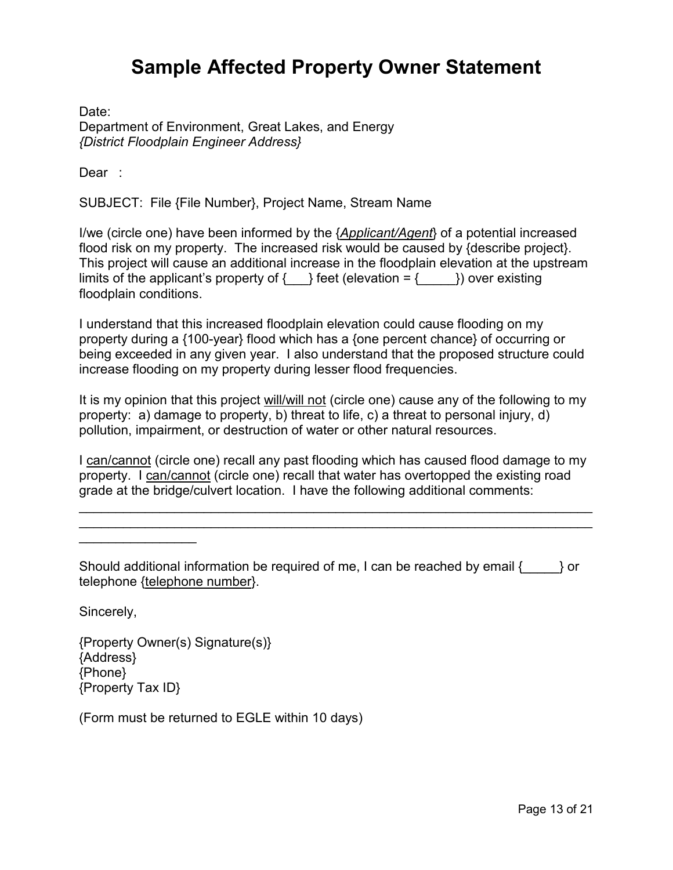### **Sample Affected Property Owner Statement**

Date: Department of Environment, Great Lakes, and Energy *{District Floodplain Engineer Address}*

Dear :

SUBJECT: File {File Number}, Project Name, Stream Name

I/we (circle one) have been informed by the {*Applicant/Agent*} of a potential increased flood risk on my property. The increased risk would be caused by {describe project}. This project will cause an additional increase in the floodplain elevation at the upstream limits of the applicant's property of  $\{\_\}$  feet (elevation =  $\{\_\\}$ ) over existing floodplain conditions.

I understand that this increased floodplain elevation could cause flooding on my property during a {100-year} flood which has a {one percent chance} of occurring or being exceeded in any given year. I also understand that the proposed structure could increase flooding on my property during lesser flood frequencies.

It is my opinion that this project will/will not (circle one) cause any of the following to my property: a) damage to property, b) threat to life, c) a threat to personal injury, d) pollution, impairment, or destruction of water or other natural resources.

I can/cannot (circle one) recall any past flooding which has caused flood damage to my property. I can/cannot (circle one) recall that water has overtopped the existing road grade at the bridge/culvert location. I have the following additional comments:

\_\_\_\_\_\_\_\_\_\_\_\_\_\_\_\_\_\_\_\_\_\_\_\_\_\_\_\_\_\_\_\_\_\_\_\_\_\_\_\_\_\_\_\_\_\_\_\_\_\_\_\_\_\_\_\_\_\_\_\_\_\_\_\_\_\_\_\_\_\_ \_\_\_\_\_\_\_\_\_\_\_\_\_\_\_\_\_\_\_\_\_\_\_\_\_\_\_\_\_\_\_\_\_\_\_\_\_\_\_\_\_\_\_\_\_\_\_\_\_\_\_\_\_\_\_\_\_\_\_\_\_\_\_\_\_\_\_\_\_\_

Should additional information be required of me, I can be reached by email {\_\_\_\_\_} or telephone {telephone number}.

Sincerely,

 $\overline{\phantom{a}}$ 

{Property Owner(s) Signature(s)} {Address} {Phone} {Property Tax ID}

(Form must be returned to EGLE within 10 days)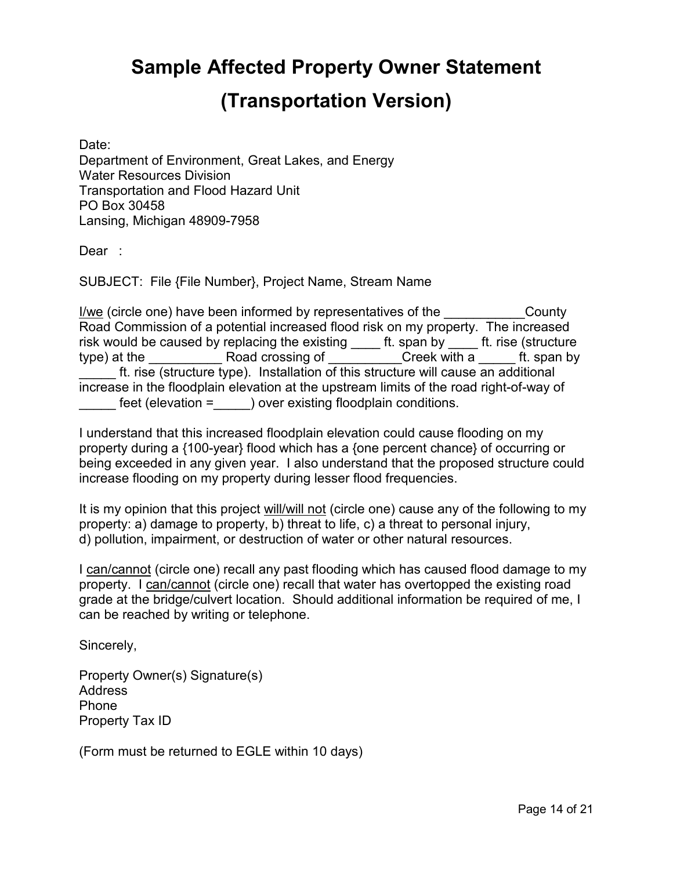## **Sample Affected Property Owner Statement (Transportation Version)**

Date: Department of Environment, Great Lakes, and Energy Water Resources Division Transportation and Flood Hazard Unit PO Box 30458 Lansing, Michigan 48909-7958

Dear :

SUBJECT: File {File Number}, Project Name, Stream Name

I/we (circle one) have been informed by representatives of the County Road Commission of a potential increased flood risk on my property. The increased risk would be caused by replacing the existing ft. span by ft. rise (structure type) at the **Example 2** Road crossing of **Example 2 Creek with a zero ft. span by** ft. rise (structure type). Installation of this structure will cause an additional increase in the floodplain elevation at the upstream limits of the road right-of-way of feet (elevation = ) over existing floodplain conditions.

I understand that this increased floodplain elevation could cause flooding on my property during a {100-year} flood which has a {one percent chance} of occurring or being exceeded in any given year. I also understand that the proposed structure could increase flooding on my property during lesser flood frequencies.

It is my opinion that this project will/will not (circle one) cause any of the following to my property: a) damage to property, b) threat to life, c) a threat to personal injury, d) pollution, impairment, or destruction of water or other natural resources.

I can/cannot (circle one) recall any past flooding which has caused flood damage to my property. I can/cannot (circle one) recall that water has overtopped the existing road grade at the bridge/culvert location. Should additional information be required of me, I can be reached by writing or telephone.

Sincerely,

Property Owner(s) Signature(s) Address Phone Property Tax ID

(Form must be returned to EGLE within 10 days)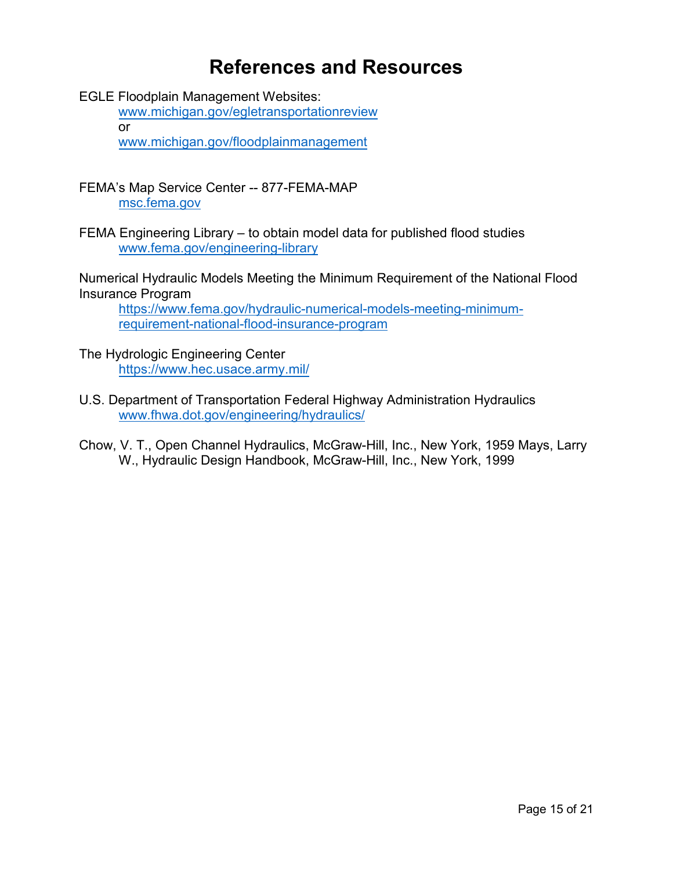### **References and Resources**

EGLE Floodplain Management Websites:

www.michigan.gov/egle[transportationreview](http://www.michigan.gov/egletransportationreview) or

[www.michigan.gov/floodplainmanagement](http://www.michigan.gov/floodplainmanagement)

FEMA's Map Service Center -- 877-FEMA-MAP [msc.fema.gov](https://msc.fema.gov/)

FEMA Engineering Library – to obtain model data for published flood studies [www.fema.gov/engineering-library](http://www.fema.gov/engineering-library)

Numerical Hydraulic Models Meeting the Minimum Requirement of the National Flood Insurance Program

[https://www.fema.gov/hydraulic-numerical-models-meeting-minimum](https://www.fema.gov/hydraulic-numerical-models-meeting-minimum-requirement-national-flood-insurance-program)requirement-national-flood-insurance-program

The Hydrologic Engineering Center <https://www.hec.usace.army.mil/>

U.S. Department of Transportation Federal Highway Administration Hydraulics [www.fhwa.dot.gov/engineering/hydraulics/](http://www.fhwa.dot.gov/engineering/hydraulics/)

Chow, V. T., Open Channel Hydraulics, McGraw-Hill, Inc., New York, 1959 Mays, Larry W., Hydraulic Design Handbook, McGraw-Hill, Inc., New York, 1999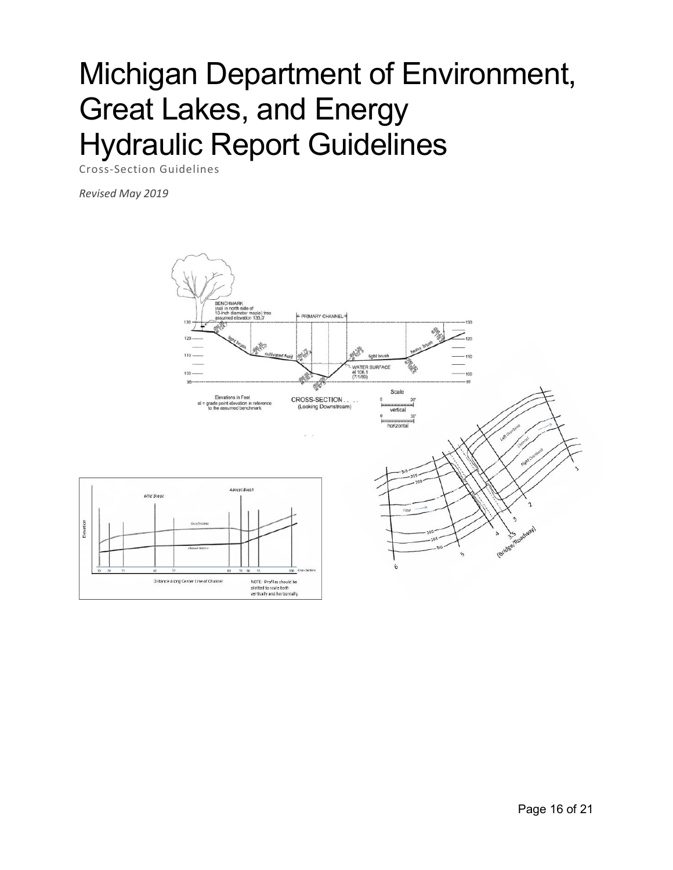# Michigan Department of Environment, Great Lakes, and Energy Hydraulic Report Guidelines

Cross-Section Guidelines

*Revised May 2019*

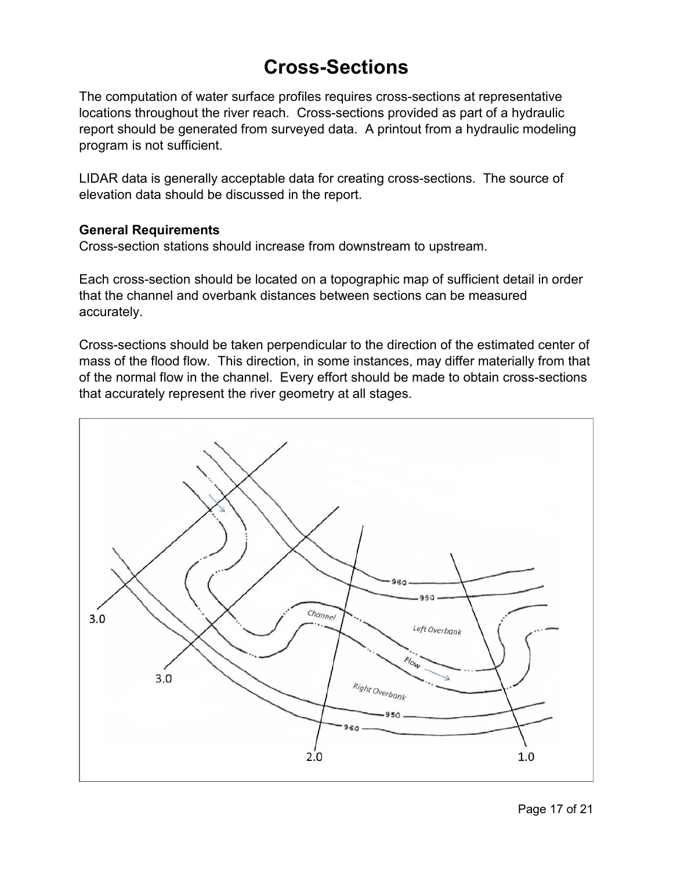### **Cross-Sections**

The computation of water surface profiles requires cross-sections at representative locations throughout the river reach. Cross-sections provided as part of a hydraulic report should be generated from surveyed data. A printout from a hydraulic modeling program is not sufficient.

LIDAR data is generally acceptable data for creating cross-sections. The source of elevation data should be discussed in the report.

#### **General Requirements**

Cross-section stations should increase from downstream to upstream.

Each cross-section should be located on a topographic map of sufficient detail in order that the channel and overbank distances between sections can be measured accurately.

Cross-sections should be taken perpendicular to the direction of the estimated center of mass of the flood flow. This direction, in some instances, may differ materially from that of the normal flow in the channel. Every effort should be made to obtain cross-sections that accurately represent the river geometry at all stages.

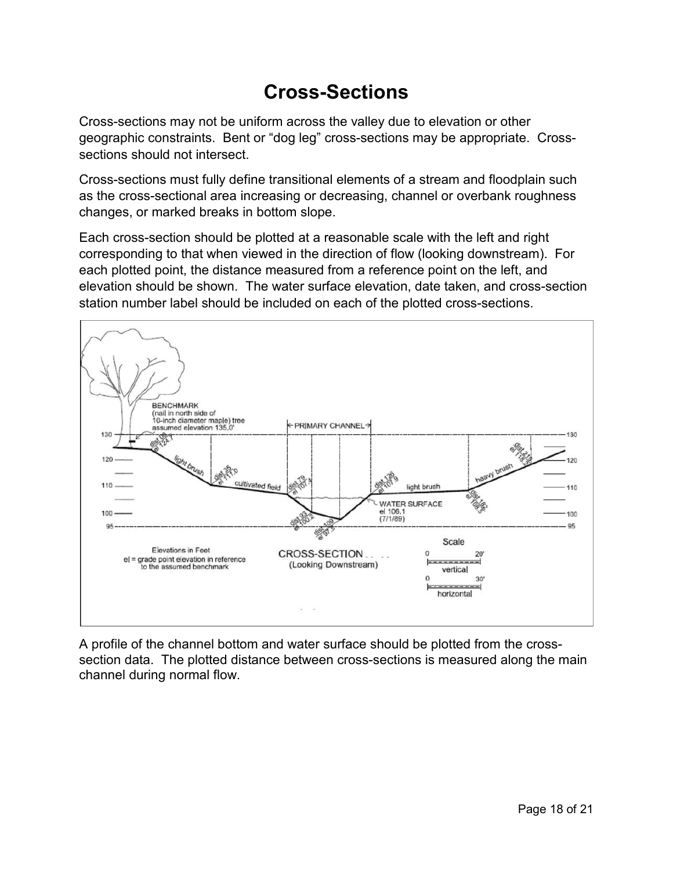### **Cross-Sections**

Cross-sections may not be uniform across the valley due to elevation or other geographic constraints. Bent or "dog leg" cross-sections may be appropriate. Crosssections should not intersect.

Cross-sections must fully define transitional elements of a stream and floodplain such as the cross-sectional area increasing or decreasing, channel or overbank roughness changes, or marked breaks in bottom slope.

Each cross-section should be plotted at a reasonable scale with the left and right corresponding to that when viewed in the direction of flow (looking downstream). For each plotted point, the distance measured from a reference point on the left, and elevation should be shown. The water surface elevation, date taken, and cross-section station number label should be included on each of the plotted cross-sections.



A profile of the channel bottom and water surface should be plotted from the crosssection data. The plotted distance between cross-sections is measured along the main channel during normal flow.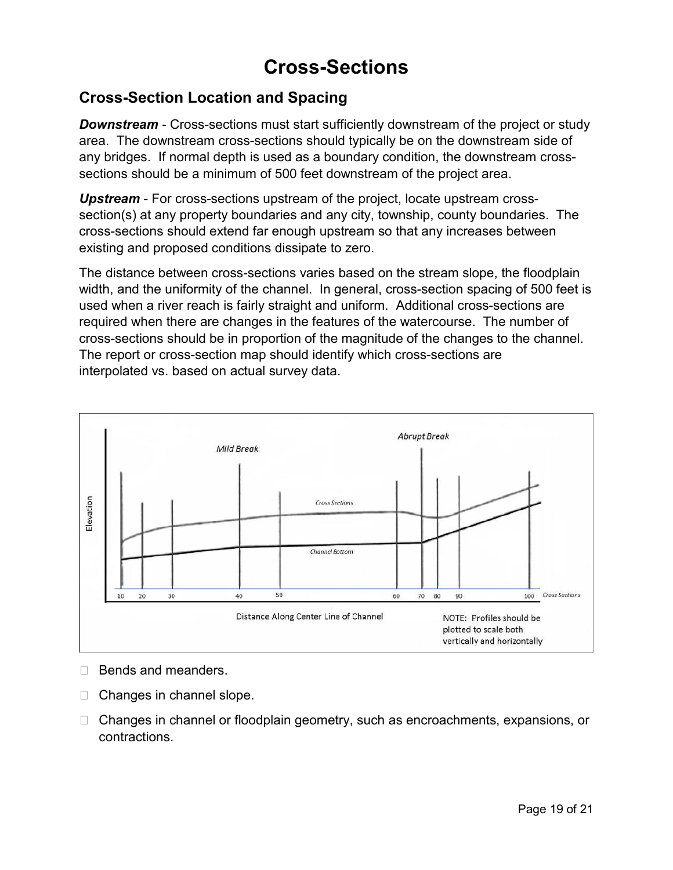### **Cross-Sections**

#### **Cross-Section Location and Spacing**

*Downstream* - Cross-sections must start sufficiently downstream of the project or study area. The downstream cross-sections should typically be on the downstream side of any bridges. If normal depth is used as a boundary condition, the downstream crosssections should be a minimum of 500 feet downstream of the project area.

*Upstream* - For cross-sections upstream of the project, locate upstream crosssection(s) at any property boundaries and any city, township, county boundaries. The cross-sections should extend far enough upstream so that any increases between existing and proposed conditions dissipate to zero.

The distance between cross-sections varies based on the stream slope, the floodplain width, and the uniformity of the channel. In general, cross-section spacing of 500 feet is used when a river reach is fairly straight and uniform. Additional cross-sections are required when there are changes in the features of the watercourse. The number of cross-sections should be in proportion of the magnitude of the changes to the channel. The report or cross-section map should identify which cross-sections are interpolated vs. based on actual survey data.



 $\Box$  Bends and meanders.

- $\Box$  Changes in channel slope.
- □ Changes in channel or floodplain geometry, such as encroachments, expansions, or contractions.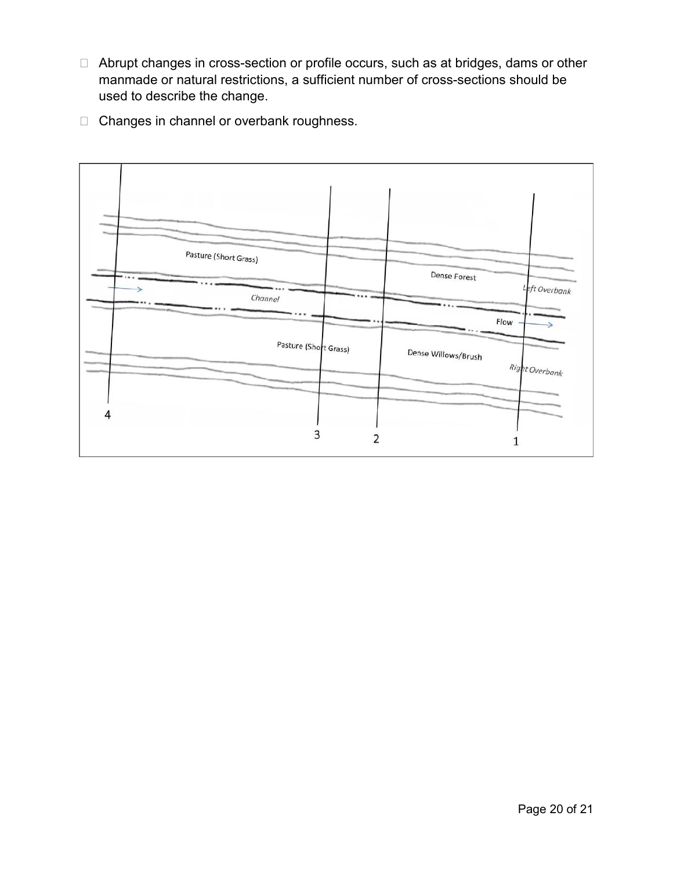- Abrupt changes in cross-section or profile occurs, such as at bridges, dams or other manmade or natural restrictions, a sufficient number of cross-sections should be used to describe the change.
- □ Changes in channel or overbank roughness.